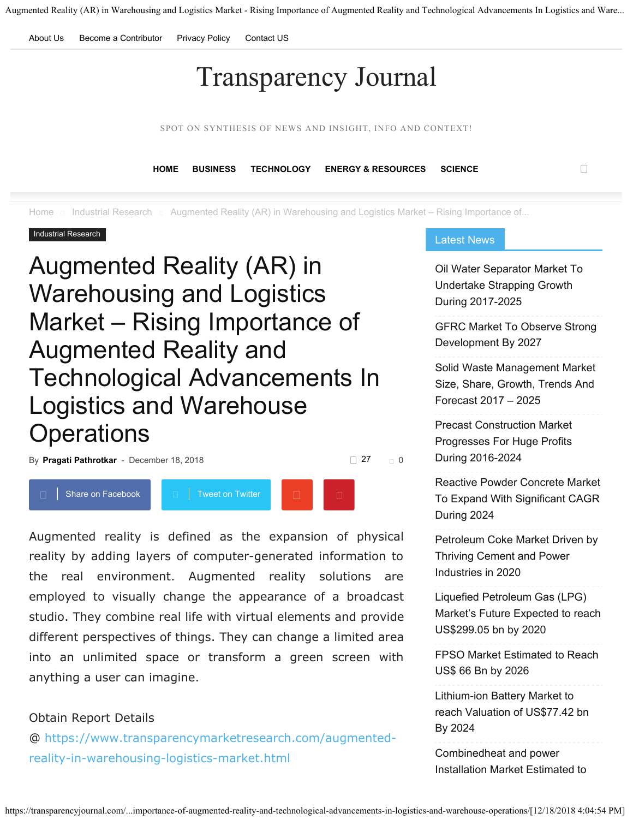<span id="page-0-0"></span>About Us Become a Contributor Privacy Policy Contact US

# Transparency Journal

SPOT ON SYNTHESIS OF NEWS AND INSIGHT, INFO AND CONTEXT!

**HOME BUSINESS TECHNOLOGY ENERGY & RESOURCES SCIENCE**

 $\Box$  Industrial Research  $\Box$  Augmented Reality (AR) in Warehousing and Logistics Market – Rising Importance of...

#### Industrial Research

# Augmented Reality (AR) in Warehousing and Logistics Market – Rising Importance of Augmented Reality and Technological Advancements In Logistics and Warehouse **Operations**



Augmented reality is defined as the expansion of physical reality by adding layers of computer-generated information to the real environment. Augmented reality solutions are employed to visually change the appearance of a broadcast studio. They combine real life with virtual elements and provide different perspectives of things. They can change a limited area into an unlimited space or transform a green screen with anything a user can imagine.

#### Obtain Report Details

@ https://www.transparencymarketresearch.com/augmentedreality-in-warehousing-logistics-market.html

#### Latest News

Oil Water Separator Market To Undertake Strapping Growth During 2017-2025

GFRC Market To Observe Strong Development By 2027

Solid Waste Management Market Size, Share, Growth, Trends And Forecast 2017 – 2025

Precast Construction Market Progresses For Huge Profits During 2016-2024

Reactive Powder Concrete Market To Expand With Significant CAGR During 2024

Petroleum Coke Market Driven by Thriving Cement and Power Industries in 2020

Liquefied Petroleum Gas (LPG) Market's Future Expected to reach US\$299.05 bn by 2020

FPSO Market Estimated to Reach US\$ 66 Bn by 2026

Lithium-ion Battery Market to reach Valuation of US\$77.42 bn By 2024

Combinedheat and power Installation Market Estimated to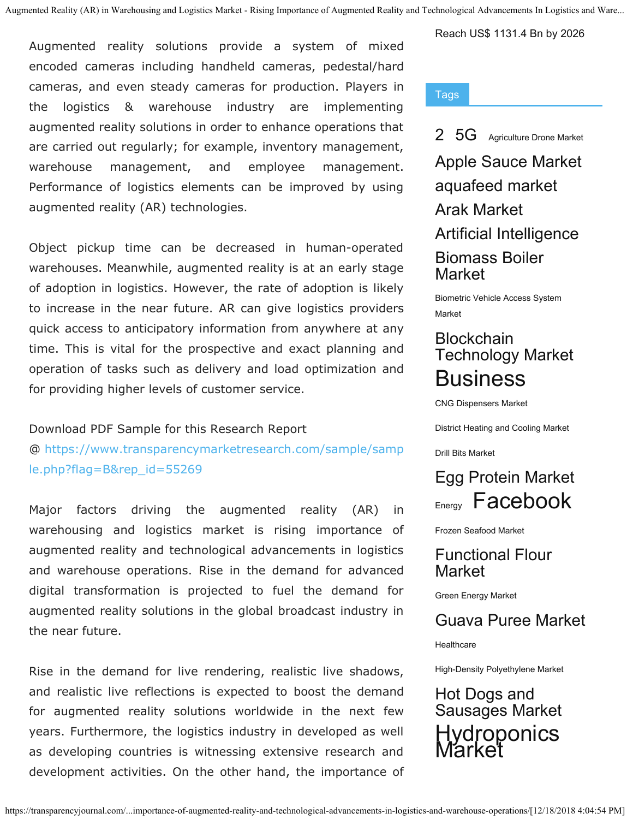Augmented reality solutions provide a system of mixed encoded cameras including handheld cameras, pedestal/hard cameras, and even steady cameras for production. Players in the logistics & warehouse industry are implementing augmented reality solutions in order to enhance operations that are carried out regularly; for example, inventory management, warehouse management, and employee management. Performance of logistics elements can be improved by using augmented reality (AR) technologies.

Object pickup time can be decreased in human-operated warehouses. Meanwhile, augmented reality is at an early stage of adoption in logistics. However, the rate of adoption is likely to increase in the near future. AR can give logistics providers quick access to anticipatory information from anywhere at any time. This is vital for the prospective and exact planning and operation of tasks such as delivery and load optimization and for providing higher levels of customer service.

#### Download PDF Sample for this Research Report

@ https://www.transparencymarketresearch.com/sample/samp le.php?flag=B&rep\_id=55269

Major factors driving the augmented reality (AR) in warehousing and logistics market is rising importance of augmented reality and technological advancements in logistics and warehouse operations. Rise in the demand for advanced digital transformation is projected to fuel the demand for augmented reality solutions in the global broadcast industry in the near future.

Rise in the demand for live rendering, realistic live shadows, and realistic live reflections is expected to boost the demand for augmented reality solutions worldwide in the next few years. Furthermore, the logistics industry in developed as well as developing countries is witnessing extensive research and development activities. On the other hand, the importance of Reach US\$ 1131.4 Bn by 2026

#### Tags

2 5G Agriculture Drone Market

Apple Sauce Market aquafeed market Arak Market Artificial Intelligence Biomass Boiler **Market** 

Biometric Vehicle Access System Market

## **Blockchain** Technology Market **Business**

CNG Dispensers Market

District Heating and Cooling Market

Drill Bits Market



Frozen Seafood Market

Functional Flour Market

Green Energy Market

### Guava Puree Market

**Healthcare** 

High-Density Polyethylene Market

Hot Dogs and Sausages Market Hydroponics **Market**